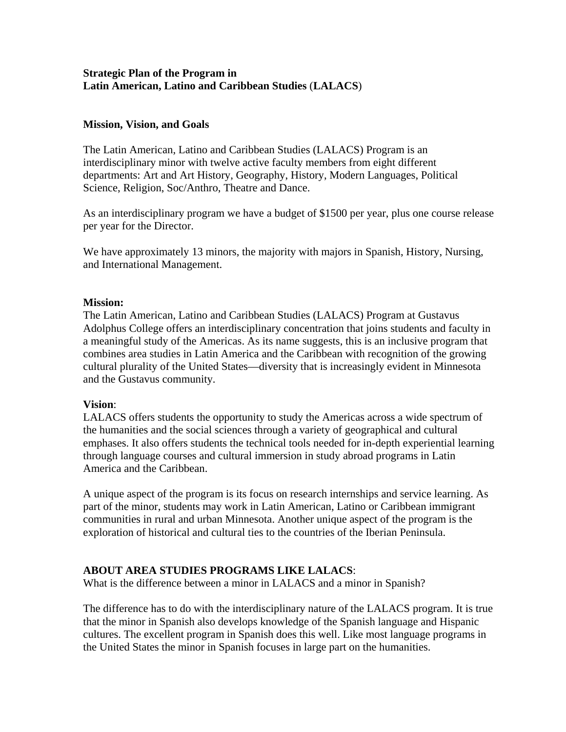### **Strategic Plan of the Program in Latin American, Latino and Caribbean Studies** (**LALACS**)

#### **Mission, Vision, and Goals**

The Latin American, Latino and Caribbean Studies (LALACS) Program is an interdisciplinary minor with twelve active faculty members from eight different departments: Art and Art History, Geography, History, Modern Languages, Political Science, Religion, Soc/Anthro, Theatre and Dance.

As an interdisciplinary program we have a budget of \$1500 per year, plus one course release per year for the Director.

We have approximately 13 minors, the majority with majors in Spanish, History, Nursing, and International Management.

#### **Mission:**

The Latin American, Latino and Caribbean Studies (LALACS) Program at Gustavus Adolphus College offers an interdisciplinary concentration that joins students and faculty in a meaningful study of the Americas. As its name suggests, this is an inclusive program that combines area studies in Latin America and the Caribbean with recognition of the growing cultural plurality of the United States—diversity that is increasingly evident in Minnesota and the Gustavus community.

#### **Vision**:

LALACS offers students the opportunity to study the Americas across a wide spectrum of the humanities and the social sciences through a variety of geographical and cultural emphases. It also offers students the technical tools needed for in-depth experiential learning through language courses and cultural immersion in study abroad programs in Latin America and the Caribbean.

A unique aspect of the program is its focus on research internships and service learning. As part of the minor, students may work in Latin American, Latino or Caribbean immigrant communities in rural and urban Minnesota. Another unique aspect of the program is the exploration of historical and cultural ties to the countries of the Iberian Peninsula.

# **ABOUT AREA STUDIES PROGRAMS LIKE LALACS**:

What is the difference between a minor in LALACS and a minor in Spanish?

The difference has to do with the interdisciplinary nature of the LALACS program. It is true that the minor in Spanish also develops knowledge of the Spanish language and Hispanic cultures. The excellent program in Spanish does this well. Like most language programs in the United States the minor in Spanish focuses in large part on the humanities.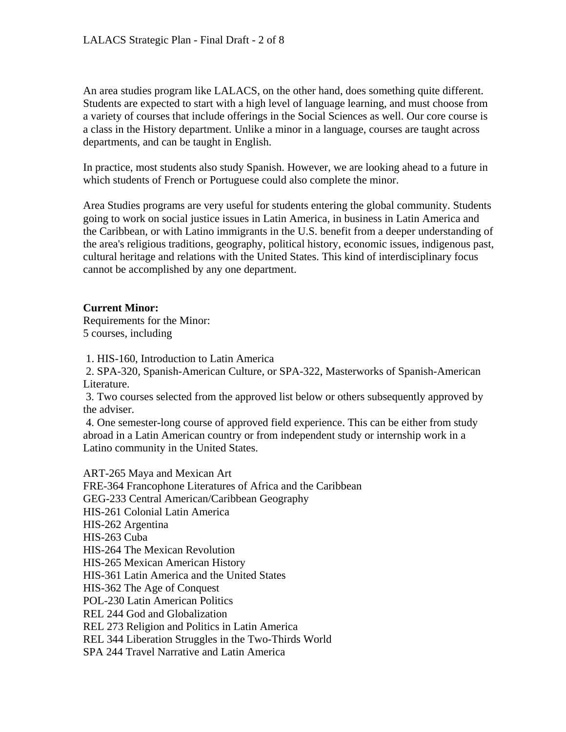An area studies program like LALACS, on the other hand, does something quite different. Students are expected to start with a high level of language learning, and must choose from a variety of courses that include offerings in the Social Sciences as well. Our core course is a class in the History department. Unlike a minor in a language, courses are taught across departments, and can be taught in English.

In practice, most students also study Spanish. However, we are looking ahead to a future in which students of French or Portuguese could also complete the minor.

Area Studies programs are very useful for students entering the global community. Students going to work on social justice issues in Latin America, in business in Latin America and the Caribbean, or with Latino immigrants in the U.S. benefit from a deeper understanding of the area's religious traditions, geography, political history, economic issues, indigenous past, cultural heritage and relations with the United States. This kind of interdisciplinary focus cannot be accomplished by any one department.

# **Current Minor:**

Requirements for the Minor: 5 courses, including

1. HIS-160, Introduction to Latin America

 2. SPA-320, Spanish-American Culture, or SPA-322, Masterworks of Spanish-American Literature.

 3. Two courses selected from the approved list below or others subsequently approved by the adviser.

 4. One semester-long course of approved field experience. This can be either from study abroad in a Latin American country or from independent study or internship work in a Latino community in the United States.

ART-265 Maya and Mexican Art FRE-364 Francophone Literatures of Africa and the Caribbean GEG-233 Central American/Caribbean Geography HIS-261 Colonial Latin America HIS-262 Argentina HIS-263 Cuba HIS-264 The Mexican Revolution HIS-265 Mexican American History HIS-361 Latin America and the United States HIS-362 The Age of Conquest POL-230 Latin American Politics REL 244 God and Globalization REL 273 Religion and Politics in Latin America REL 344 Liberation Struggles in the Two-Thirds World

SPA 244 Travel Narrative and Latin America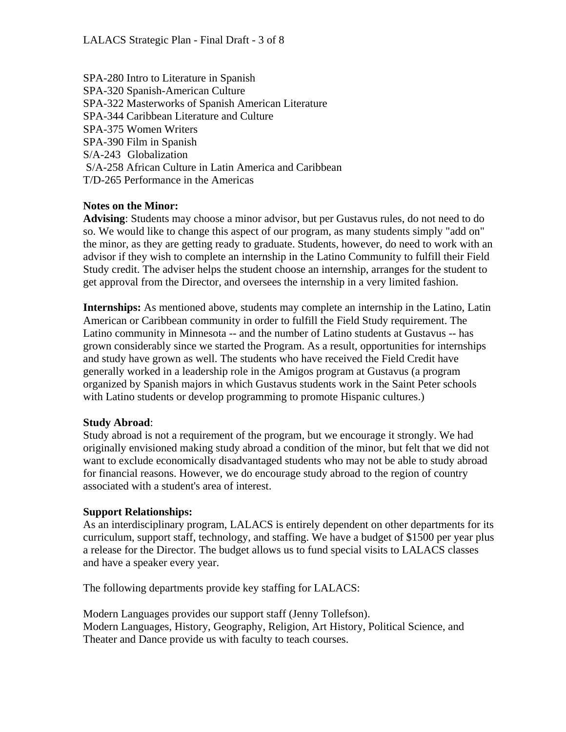SPA-280 Intro to Literature in Spanish SPA-320 Spanish-American Culture SPA-322 Masterworks of Spanish American Literature SPA-344 Caribbean Literature and Culture SPA-375 Women Writers SPA-390 Film in Spanish S/A-243 Globalization S/A-258 African Culture in Latin America and Caribbean T/D-265 Performance in the Americas

### **Notes on the Minor:**

**Advising**: Students may choose a minor advisor, but per Gustavus rules, do not need to do so. We would like to change this aspect of our program, as many students simply "add on" the minor, as they are getting ready to graduate. Students, however, do need to work with an advisor if they wish to complete an internship in the Latino Community to fulfill their Field Study credit. The adviser helps the student choose an internship, arranges for the student to get approval from the Director, and oversees the internship in a very limited fashion.

**Internships:** As mentioned above, students may complete an internship in the Latino, Latin American or Caribbean community in order to fulfill the Field Study requirement. The Latino community in Minnesota -- and the number of Latino students at Gustavus -- has grown considerably since we started the Program. As a result, opportunities for internships and study have grown as well. The students who have received the Field Credit have generally worked in a leadership role in the Amigos program at Gustavus (a program organized by Spanish majors in which Gustavus students work in the Saint Peter schools with Latino students or develop programming to promote Hispanic cultures.)

#### **Study Abroad**:

Study abroad is not a requirement of the program, but we encourage it strongly. We had originally envisioned making study abroad a condition of the minor, but felt that we did not want to exclude economically disadvantaged students who may not be able to study abroad for financial reasons. However, we do encourage study abroad to the region of country associated with a student's area of interest.

#### **Support Relationships:**

As an interdisciplinary program, LALACS is entirely dependent on other departments for its curriculum, support staff, technology, and staffing. We have a budget of \$1500 per year plus a release for the Director. The budget allows us to fund special visits to LALACS classes and have a speaker every year.

The following departments provide key staffing for LALACS:

Modern Languages provides our support staff (Jenny Tollefson). Modern Languages, History, Geography, Religion, Art History, Political Science, and Theater and Dance provide us with faculty to teach courses.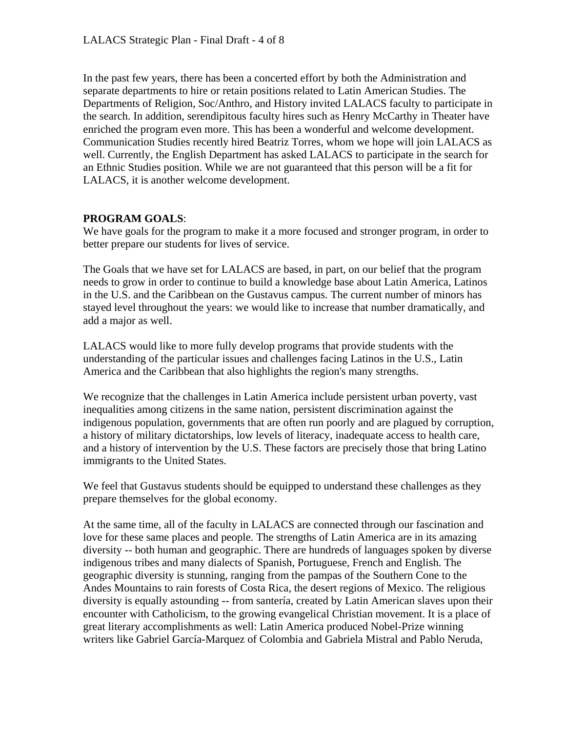In the past few years, there has been a concerted effort by both the Administration and separate departments to hire or retain positions related to Latin American Studies. The Departments of Religion, Soc/Anthro, and History invited LALACS faculty to participate in the search. In addition, serendipitous faculty hires such as Henry McCarthy in Theater have enriched the program even more. This has been a wonderful and welcome development. Communication Studies recently hired Beatriz Torres, whom we hope will join LALACS as well. Currently, the English Department has asked LALACS to participate in the search for an Ethnic Studies position. While we are not guaranteed that this person will be a fit for LALACS, it is another welcome development.

# **PROGRAM GOALS**:

We have goals for the program to make it a more focused and stronger program, in order to better prepare our students for lives of service.

The Goals that we have set for LALACS are based, in part, on our belief that the program needs to grow in order to continue to build a knowledge base about Latin America, Latinos in the U.S. and the Caribbean on the Gustavus campus. The current number of minors has stayed level throughout the years: we would like to increase that number dramatically, and add a major as well.

LALACS would like to more fully develop programs that provide students with the understanding of the particular issues and challenges facing Latinos in the U.S., Latin America and the Caribbean that also highlights the region's many strengths.

We recognize that the challenges in Latin America include persistent urban poverty, vast inequalities among citizens in the same nation, persistent discrimination against the indigenous population, governments that are often run poorly and are plagued by corruption, a history of military dictatorships, low levels of literacy, inadequate access to health care, and a history of intervention by the U.S. These factors are precisely those that bring Latino immigrants to the United States.

We feel that Gustavus students should be equipped to understand these challenges as they prepare themselves for the global economy.

At the same time, all of the faculty in LALACS are connected through our fascination and love for these same places and people. The strengths of Latin America are in its amazing diversity -- both human and geographic. There are hundreds of languages spoken by diverse indigenous tribes and many dialects of Spanish, Portuguese, French and English. The geographic diversity is stunning, ranging from the pampas of the Southern Cone to the Andes Mountains to rain forests of Costa Rica, the desert regions of Mexico. The religious diversity is equally astounding -- from santería, created by Latin American slaves upon their encounter with Catholicism, to the growing evangelical Christian movement. It is a place of great literary accomplishments as well: Latin America produced Nobel-Prize winning writers like Gabriel García-Marquez of Colombia and Gabriela Mistral and Pablo Neruda,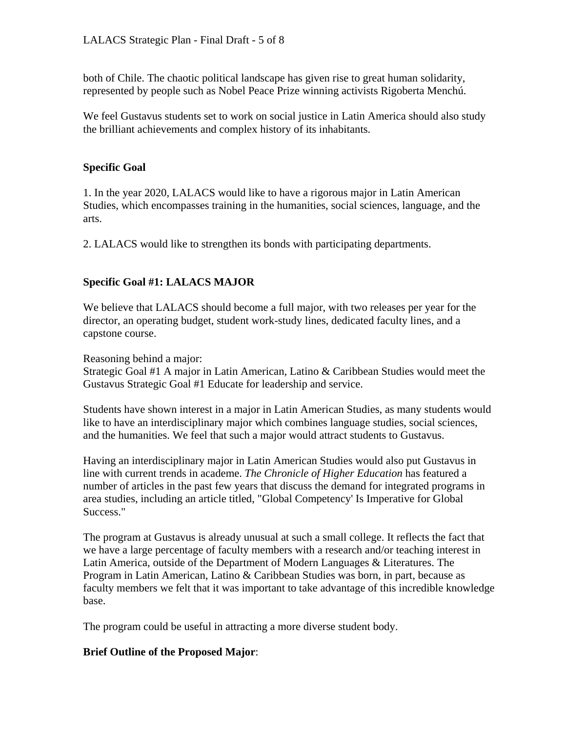both of Chile. The chaotic political landscape has given rise to great human solidarity, represented by people such as Nobel Peace Prize winning activists Rigoberta Menchú.

We feel Gustavus students set to work on social justice in Latin America should also study the brilliant achievements and complex history of its inhabitants.

### **Specific Goal**

1. In the year 2020, LALACS would like to have a rigorous major in Latin American Studies, which encompasses training in the humanities, social sciences, language, and the arts.

2. LALACS would like to strengthen its bonds with participating departments.

# **Specific Goal #1: LALACS MAJOR**

We believe that LALACS should become a full major, with two releases per year for the director, an operating budget, student work-study lines, dedicated faculty lines, and a capstone course.

Reasoning behind a major:

Strategic Goal #1 A major in Latin American, Latino & Caribbean Studies would meet the Gustavus Strategic Goal #1 Educate for leadership and service.

Students have shown interest in a major in Latin American Studies, as many students would like to have an interdisciplinary major which combines language studies, social sciences, and the humanities. We feel that such a major would attract students to Gustavus.

Having an interdisciplinary major in Latin American Studies would also put Gustavus in line with current trends in academe. *The Chronicle of Higher Education* has featured a number of articles in the past few years that discuss the demand for integrated programs in area studies, including an article titled, "Global Competency' Is Imperative for Global Success."

The program at Gustavus is already unusual at such a small college. It reflects the fact that we have a large percentage of faculty members with a research and/or teaching interest in Latin America, outside of the Department of Modern Languages & Literatures. The Program in Latin American, Latino & Caribbean Studies was born, in part, because as faculty members we felt that it was important to take advantage of this incredible knowledge base.

The program could be useful in attracting a more diverse student body.

# **Brief Outline of the Proposed Major**: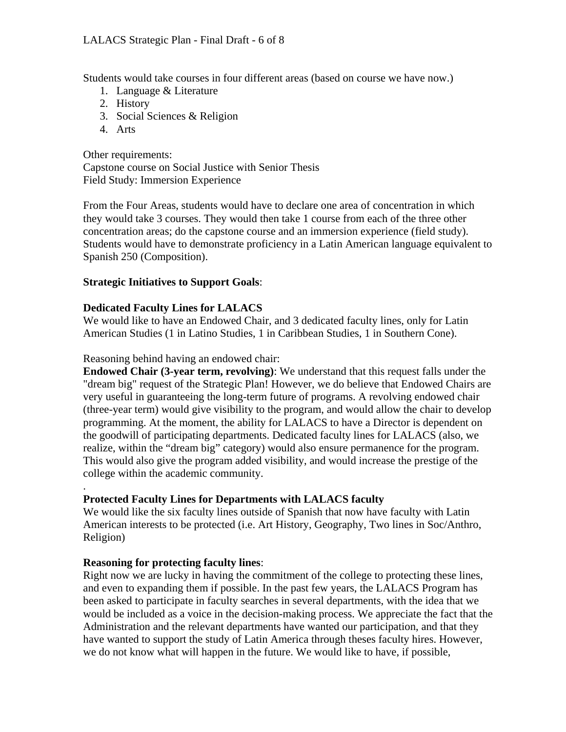Students would take courses in four different areas (based on course we have now.)

- 1. Language & Literature
- 2. History
- 3. Social Sciences & Religion
- 4. Arts

Other requirements: Capstone course on Social Justice with Senior Thesis Field Study: Immersion Experience

From the Four Areas, students would have to declare one area of concentration in which they would take 3 courses. They would then take 1 course from each of the three other concentration areas; do the capstone course and an immersion experience (field study). Students would have to demonstrate proficiency in a Latin American language equivalent to Spanish 250 (Composition).

# **Strategic Initiatives to Support Goals**:

# **Dedicated Faculty Lines for LALACS**

We would like to have an Endowed Chair, and 3 dedicated faculty lines, only for Latin American Studies (1 in Latino Studies, 1 in Caribbean Studies, 1 in Southern Cone).

### Reasoning behind having an endowed chair:

**Endowed Chair (3-year term, revolving)**: We understand that this request falls under the "dream big" request of the Strategic Plan! However, we do believe that Endowed Chairs are very useful in guaranteeing the long-term future of programs. A revolving endowed chair (three-year term) would give visibility to the program, and would allow the chair to develop programming. At the moment, the ability for LALACS to have a Director is dependent on the goodwill of participating departments. Dedicated faculty lines for LALACS (also, we realize, within the "dream big" category) would also ensure permanence for the program. This would also give the program added visibility, and would increase the prestige of the college within the academic community.

#### . **Protected Faculty Lines for Departments with LALACS faculty**

We would like the six faculty lines outside of Spanish that now have faculty with Latin American interests to be protected (i.e. Art History, Geography, Two lines in Soc/Anthro, Religion)

# **Reasoning for protecting faculty lines**:

Right now we are lucky in having the commitment of the college to protecting these lines, and even to expanding them if possible. In the past few years, the LALACS Program has been asked to participate in faculty searches in several departments, with the idea that we would be included as a voice in the decision-making process. We appreciate the fact that the Administration and the relevant departments have wanted our participation, and that they have wanted to support the study of Latin America through theses faculty hires. However, we do not know what will happen in the future. We would like to have, if possible,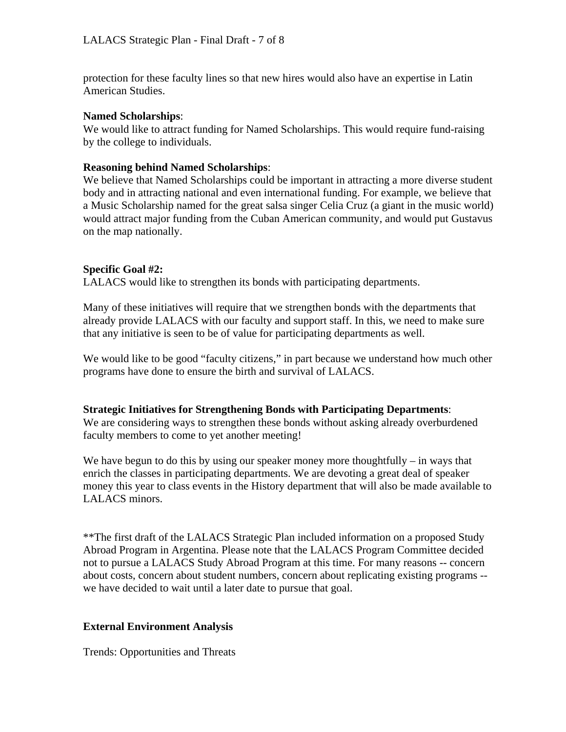protection for these faculty lines so that new hires would also have an expertise in Latin American Studies.

### **Named Scholarships**:

We would like to attract funding for Named Scholarships. This would require fund-raising by the college to individuals.

### **Reasoning behind Named Scholarships**:

We believe that Named Scholarships could be important in attracting a more diverse student body and in attracting national and even international funding. For example, we believe that a Music Scholarship named for the great salsa singer Celia Cruz (a giant in the music world) would attract major funding from the Cuban American community, and would put Gustavus on the map nationally.

# **Specific Goal #2:**

LALACS would like to strengthen its bonds with participating departments.

Many of these initiatives will require that we strengthen bonds with the departments that already provide LALACS with our faculty and support staff. In this, we need to make sure that any initiative is seen to be of value for participating departments as well.

We would like to be good "faculty citizens," in part because we understand how much other programs have done to ensure the birth and survival of LALACS.

#### **Strategic Initiatives for Strengthening Bonds with Participating Departments**:

We are considering ways to strengthen these bonds without asking already overburdened faculty members to come to yet another meeting!

We have begun to do this by using our speaker money more thoughtfully – in ways that enrich the classes in participating departments. We are devoting a great deal of speaker money this year to class events in the History department that will also be made available to LALACS minors.

\*\*The first draft of the LALACS Strategic Plan included information on a proposed Study Abroad Program in Argentina. Please note that the LALACS Program Committee decided not to pursue a LALACS Study Abroad Program at this time. For many reasons -- concern about costs, concern about student numbers, concern about replicating existing programs - we have decided to wait until a later date to pursue that goal.

# **External Environment Analysis**

Trends: Opportunities and Threats